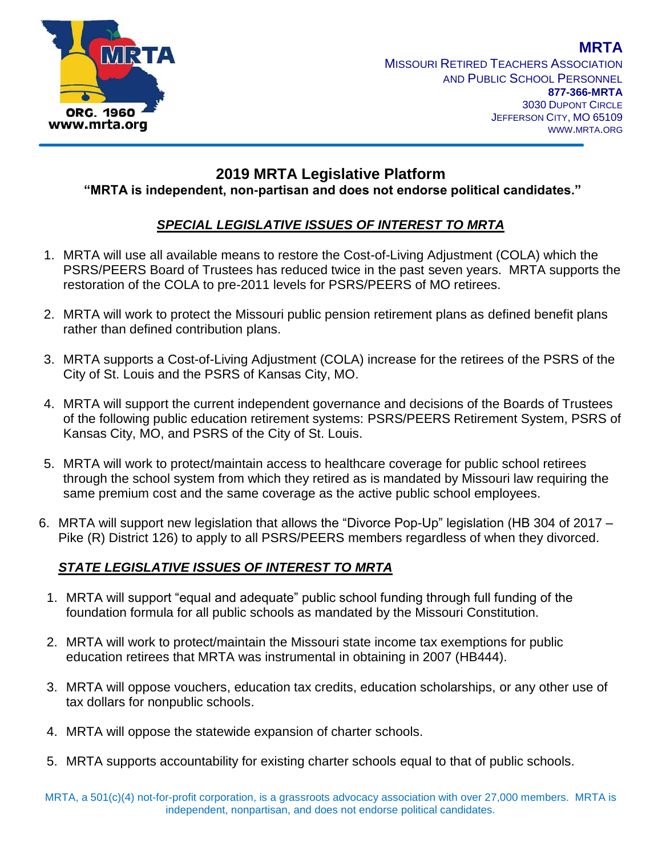

MISSOURI RETIRED TEACHERS ASSOCIATION AND PUBLIC SCHOOL PERSONNEL **877-366-MRTA** 3030 DUPONT CIRCLE JEFFERSON CITY, MO 65109 WWW.MRTA.ORG

## **2019 MRTA Legislative Platform**

**"MRTA is independent, non-partisan and does not endorse political candidates."**

## *SPECIAL LEGISLATIVE ISSUES OF INTEREST TO MRTA*

- 1. MRTA will use all available means to restore the Cost-of-Living Adjustment (COLA) which the PSRS/PEERS Board of Trustees has reduced twice in the past seven years. MRTA supports the restoration of the COLA to pre-2011 levels for PSRS/PEERS of MO retirees.
- 2. MRTA will work to protect the Missouri public pension retirement plans as defined benefit plans rather than defined contribution plans.
- 3. MRTA supports a Cost-of-Living Adjustment (COLA) increase for the retirees of the PSRS of the City of St. Louis and the PSRS of Kansas City, MO.
- 4. MRTA will support the current independent governance and decisions of the Boards of Trustees of the following public education retirement systems: PSRS/PEERS Retirement System, PSRS of Kansas City, MO, and PSRS of the City of St. Louis.
- 5. MRTA will work to protect/maintain access to healthcare coverage for public school retirees through the school system from which they retired as is mandated by Missouri law requiring the same premium cost and the same coverage as the active public school employees.
- 6. MRTA will support new legislation that allows the "Divorce Pop-Up" legislation (HB 304 of 2017 Pike (R) District 126) to apply to all PSRS/PEERS members regardless of when they divorced.

## *STATE LEGISLATIVE ISSUES OF INTEREST TO MRTA*

- 1. MRTA will support "equal and adequate" public school funding through full funding of the foundation formula for all public schools as mandated by the Missouri Constitution.
- 2. MRTA will work to protect/maintain the Missouri state income tax exemptions for public education retirees that MRTA was instrumental in obtaining in 2007 (HB444).
- 3. MRTA will oppose vouchers, education tax credits, education scholarships, or any other use of tax dollars for nonpublic schools.
- 4. MRTA will oppose the statewide expansion of charter schools.
- 5. MRTA supports accountability for existing charter schools equal to that of public schools.

**MRTA**